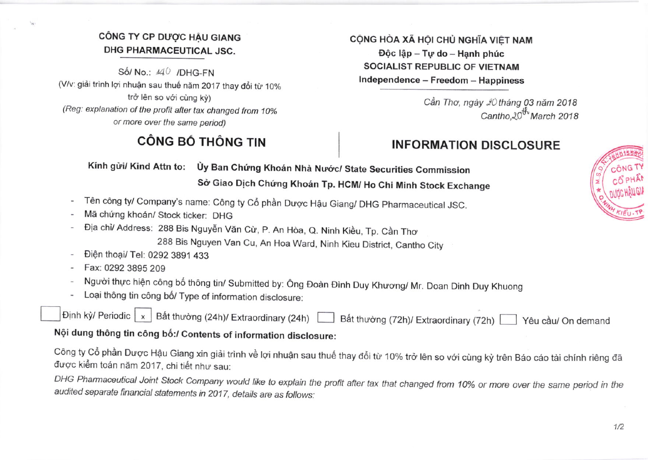## CÔNG TY CP DƯỢC HẬU GIANG DHG PHARMACEUTICAL JSC.

Số/ No.: 440 /DHG-FN (V/v: giải trình lợi nhuận sau thuế năm 2017 thay đổi từ 10% trở lên so với cùng kỳ) (Reg: explanation of the profit after tax changed from 10% or more over the same period)

## CÔNG BỐ THÔNG TIN

CÔNG HÒA XÃ HỘI CHỦ NGHĨA VIỆT NAM Độc lập - Tự do - Hạnh phúc **SOCIALIST REPUBLIC OF VIETNAM** Independence - Freedom - Happiness

> Cần Thơ, ngày 20 tháng 03 năm 2018 Cantho.20<sup>th</sup> March 2018

## **INFORMATION DISCLOSURE**

Kính gửi/ Kind Attn to: Ủy Ban Chứng Khoán Nhà Nước/ State Securities Commission Sở Giao Dịch Chứng Khoán Tp. HCM/ Ho Chi Minh Stock Exchange

- Tên công ty/ Company's name: Công ty Cổ phần Dược Hậu Giang/ DHG Pharmaceutical JSC.
- Mã chứng khoán/ Stock ticker: DHG
- Địa chỉ/ Address: 288 Bis Nguyễn Văn Cừ, P. An Hòa, Q. Ninh Kiều, Tp. Cần Thơ 288 Bis Nguyen Van Cu, An Hoa Ward, Ninh Kieu District, Cantho City
- Điện thoại/ Tel: 0292 3891 433
- Fax: 0292 3895 209
- Người thực hiện công bố thông tin/ Submitted by: Ông Đoàn Đình Duy Khương/ Mr. Doan Dinh Duy Khuong
- Loại thông tin công bố/ Type of information disclosure:

|  |  | inh kỳ/ Periodic   x   Bất thường (24h)/ Extraordinary (24h) Bất thường (72h)/ Extraordinary (72h) Yêu cầu/ On dem |
|--|--|--------------------------------------------------------------------------------------------------------------------|

Nội dung thông tin công bố:/ Contents of information disclosure:

Công ty Cổ phần Dược Hậu Giang xin giải trình về lợi nhuận sau thuế thay đổi từ 10% trở lên so với cùng kỳ trên Báo cáo tài chính riêng đã được kiểm toán năm 2017, chi tiết như sau:

DHG Pharmaceutical Joint Stock Company would like to explain the profit after tax that changed from 10% or more over the same period in the audited separate financial statements in 2017, details are as follows: